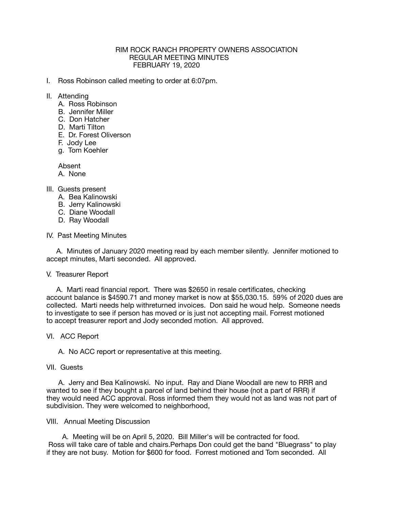### RIM ROCK RANCH PROPERTY OWNERS ASSOCIATION REGULAR MEETING MINUTES FEBRUARY 19, 2020

- I. Ross Robinson called meeting to order at 6:07pm.
- II. Attending
	- A. Ross Robinson
	- B. Jennifer Miller
	- C. Don Hatcher
	- D. Marti Tilton
	- E. Dr. Forest Oliverson
	- F. Jody Lee
	- g. Tom Koehler

Absent

A. None

# III. Guests present

- A. Bea Kalinowski
- B. Jerry Kalinowski
- C. Diane Woodall
- D. Ray Woodall

### IV. Past Meeting Minutes

 A. Minutes of January 2020 meeting read by each member silently. Jennifer motioned to accept minutes, Marti seconded. All approved.

#### V. Treasurer Report

 A. Marti read financial report. There was \$2650 in resale certificates, checking account balance is \$4590.71 and money market is now at \$55,030.15. 59% of 2020 dues are collected. Marti needs help withreturned invoices. Don said he woud help. Someone needs to investigate to see if person has moved or is just not accepting mail. Forrest motioned to accept treasurer report and Jody seconded motion. All approved.

# VI. ACC Report

A. No ACC report or representative at this meeting.

#### VII. Guests

 A. Jerry and Bea Kalinowski. No input. Ray and Diane Woodall are new to RRR and wanted to see if they bought a parcel of land behind their house (not a part of RRR) if they would need ACC approval. Ross informed them they would not as land was not part of subdivision. They were welcomed to neighborhood,

#### VIII. Annual Meeting Discussion

 A. Meeting will be on April 5, 2020. Bill Miller's will be contracted for food. Ross will take care of table and chairs.Perhaps Don could get the band "Bluegrass" to play if they are not busy. Motion for \$600 for food. Forrest motioned and Tom seconded. All